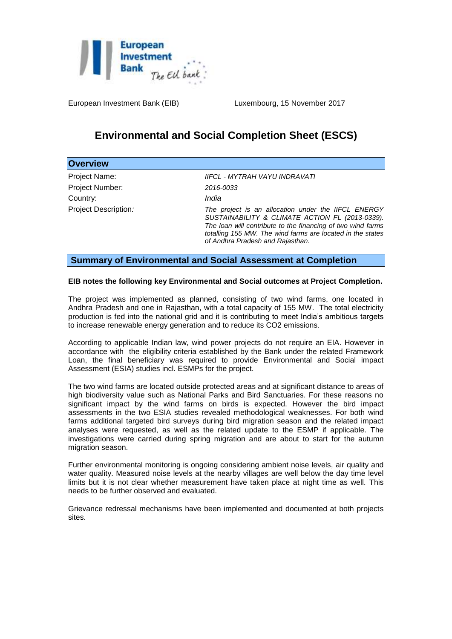

European Investment Bank (EIB) Luxembourg, 15 November 2017

# **Environmental and Social Completion Sheet (ESCS)**

| <b>Overview</b>      |                                                                                                                                                                                                                                                                         |
|----------------------|-------------------------------------------------------------------------------------------------------------------------------------------------------------------------------------------------------------------------------------------------------------------------|
| Project Name:        | IIFCL - MYTRAH VAYU INDRAVATI                                                                                                                                                                                                                                           |
| Project Number:      | 2016-0033                                                                                                                                                                                                                                                               |
| Country:             | India                                                                                                                                                                                                                                                                   |
| Project Description: | The project is an allocation under the IIFCL ENERGY<br>SUSTAINABILITY & CLIMATE ACTION FL (2013-0339).<br>The loan will contribute to the financing of two wind farms<br>totalling 155 MW. The wind farms are located in the states<br>of Andhra Pradesh and Rajasthan. |

## **Summary of Environmental and Social Assessment at Completion**

### **EIB notes the following key Environmental and Social outcomes at Project Completion.**

The project was implemented as planned, consisting of two wind farms, one located in Andhra Pradesh and one in Rajasthan, with a total capacity of 155 MW. The total electricity production is fed into the national grid and it is contributing to meet India's ambitious targets to increase renewable energy generation and to reduce its CO2 emissions.

According to applicable Indian law, wind power projects do not require an EIA. However in accordance with the eligibility criteria established by the Bank under the related Framework Loan, the final beneficiary was required to provide Environmental and Social impact Assessment (ESIA) studies incl. ESMPs for the project.

The two wind farms are located outside protected areas and at significant distance to areas of high biodiversity value such as National Parks and Bird Sanctuaries. For these reasons no significant impact by the wind farms on birds is expected. However the bird impact assessments in the two ESIA studies revealed methodological weaknesses. For both wind farms additional targeted bird surveys during bird migration season and the related impact analyses were requested, as well as the related update to the ESMP if applicable. The investigations were carried during spring migration and are about to start for the autumn migration season.

Further environmental monitoring is ongoing considering ambient noise levels, air quality and water quality. Measured noise levels at the nearby villages are well below the day time level limits but it is not clear whether measurement have taken place at night time as well. This needs to be further observed and evaluated.

Grievance redressal mechanisms have been implemented and documented at both projects sites.